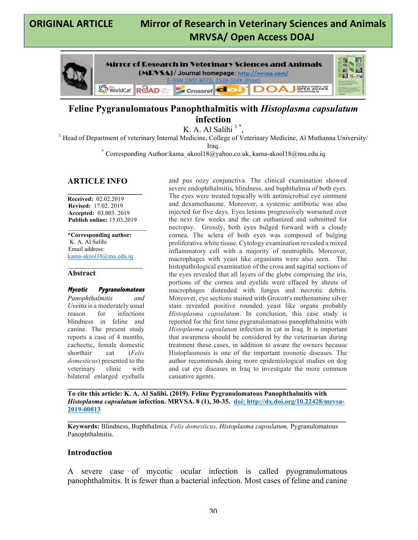# **ORIGINAL ARTICLE Mirror of Research in Veterinary Sciences and Animals MRVSA/ Open Access DOAJ**

٦



## **Feline Pygranulomatous Panophthalmitis with** *Histoplasma capsulatum* **infection**

K. A. Al Salihi<sup> $1$ \*</sup>,<br><sup>1</sup> Head of Department of veterinary Internal Medicine, College of Veterinary Medicine, Al Muthanna University/

Iraq.<br>Corresponding Author:kama\_akool18@yahoo.co.uk, kama-akool18@mu.edu.iq \*

#### **ARTICLE INFO**

**\_\_\_\_\_\_\_\_\_\_\_\_\_\_\_\_\_\_ Received:** 02.02.2019 **Revised:** 17.02. 2019 **Accepted:** 03.003. 2019 **Publish online:** 15.03.2019

 $\mathcal{L}=\mathcal{L}^{\mathcal{L}}$  , where  $\mathcal{L}^{\mathcal{L}}$  , we have the set of the set of the set of the set of the set of the set of the set of the set of the set of the set of the set of the set of the set of the set of the set of

**\*Corresponding author:** K. A. Al Salihi Email address: kama-akool18@mu.edu.iq

#### \_\_\_\_\_\_\_\_\_\_\_\_\_\_\_\_\_\_ **Abstract**

**Mycotic Pygranulomatous**  *Panophthalmitis and Uveitis* is a moderately usual reason for infections blindness in feline and canine. The present study reports a case of 4 months, cachectic, female domestic shorthair cat (*Felis domesticus*) presented to the veterinary clinic with bilateral enlarged eyeballs and pus oozy conjunctiva. The clinical examination showed severe endophthalmitis, blindness, and buphthalmia of both eyes. The eyes were treated topically with antimicrobial eye ointment and dexamethasone. Moreover, a systemic antibiotic was also injected for five days. Eyes lesions progressively worsened over the next few weeks and the cat euthanized and submitted for necropsy. Grossly, both eyes bulged forward with a cloudy cornea. The sclera of both eyes was composed of bulging proliferative white tissue. Cytology examination revealed a mixed inflammatory cell with a majority of neutrophils. Moreover, macrophages with yeast like organisms were also seen. The histopathological examination of the cross and sagittal sections of the eyes revealed that all layers of the globe comprising the iris, portions of the cornea and eyelids were effaced by sheets of macrophages distended with fungus and necrotic debris. Moreover, eye sections stained with Grocott's methenamine silver stain revealed positive rounded yeast like organs probably *Histoplasma capsulatum*. In conclusion, this case study is reported for the first time pygranulomatous panophthalmitis with *Histoplasma capsulatum* infection in cat in Iraq. It is important that awareness should be considered by the veterinarian during treatment these cases, in addition to aware the owners because Histoplasmosis is one of the important zoonotic diseases. The author recommends doing more epidemiological studies on dog and cat eye diseases in Iraq to investigate the more common causative agents.

**To cite this article: K. A. Al Salihi. (2019). Feline Pygranulomatous Panophthalmitis with**  *Histoplasma capsulatum* **infection. MRVSA. 8 (1), 30-35. doi: http://dx.doi.org/10.22428/mrvsa-2019-00813**

**\_\_\_\_\_\_\_\_\_\_\_\_\_\_\_\_\_\_\_\_\_\_\_\_\_\_\_\_\_\_\_\_\_\_\_\_\_\_\_\_\_\_\_\_\_\_\_\_\_\_\_\_\_\_\_\_\_\_\_\_\_\_\_\_\_\_\_\_**

**\_\_\_\_\_\_\_\_\_\_\_\_\_\_\_\_\_\_\_\_\_\_\_\_\_\_\_\_\_\_\_\_\_\_\_\_\_\_\_\_\_\_\_\_\_\_\_\_\_\_\_\_\_\_\_\_\_\_\_\_\_\_\_\_\_\_\_\_**

**Keywords:** Blindness, Buphthalmia*, Felis domesticus, Histoplasma capsulatum,* Pygranulomatous Panophthalmitis.

#### **Introduction**

A severe case of mycotic ocular infection is called pyogranulomatous panophthalmitis. It is fewer than a bacterial infection. Most cases of feline and canine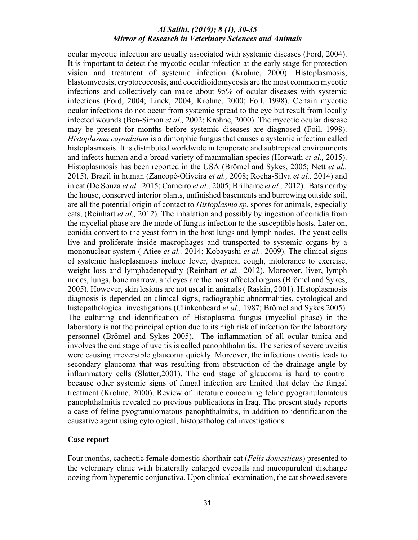ocular mycotic infection are usually associated with systemic diseases (Ford, 2004). It is important to detect the mycotic ocular infection at the early stage for protection vision and treatment of systemic infection (Krohne, 2000). Histoplasmosis, blastomycosis, cryptococcosis, and coccidioidomycosis are the most common mycotic infections and collectively can make about 95% of ocular diseases with systemic infections (Ford, 2004; Linek, 2004; Krohne, 2000; Foil, 1998). Certain mycotic ocular infections do not occur from systemic spread to the eye but result from locally infected wounds (Ben-Simon *et al.,* 2002; Krohne, 2000). The mycotic ocular disease may be present for months before systemic diseases are diagnosed (Foil, 1998). *Histoplasma capsulatum* is a dimorphic fungus that causes a systemic infection called histoplasmosis. It is distributed worldwide in temperate and subtropical environments and infects human and a broad variety of mammalian species (Horwath *et al.,* 2015). Histoplasmosis has been reported in the USA (Brömel and Sykes, 2005; Nett *et al.,* 2015), Brazil in human (Zancopé-Oliveira *et al.,* 2008; Rocha-Silva *et al.,* 2014) and in cat (De Souza *et al.,* 2015; Carneiro *et al.,* 2005; Brilhante *et al.,* 2012). Bats nearby the house, conserved interior plants, unfinished basements and burrowing outside soil, are all the potential origin of contact to *Histoplasma sp.* spores for animals, especially cats, (Reinhart *et al.,* 2012). The inhalation and possibly by ingestion of conidia from the mycelial phase are the mode of fungus infection to the susceptible hosts. Later on, conidia convert to the yeast form in the host lungs and lymph nodes. The yeast cells live and proliferate inside macrophages and transported to systemic organs by a mononuclear system ( Atiee *et al.,* 2014; Kobayashi *et al.,* 2009). The clinical signs of systemic histoplasmosis include fever, dyspnea, cough, intolerance to exercise, weight loss and lymphadenopathy (Reinhart *et al.,* 2012). Moreover, liver, lymph nodes, lungs, bone marrow, and eyes are the most affected organs (Brömel and Sykes, 2005). However, skin lesions are not usual in animals ( Raskin, 2001). Histoplasmosis diagnosis is depended on clinical signs, radiographic abnormalities, cytological and histopathological investigations (Clinkenbeard *et al.,* 1987; Brömel and Sykes 2005). The culturing and identification of Histoplasma fungus (mycelial phase) in the laboratory is not the principal option due to its high risk of infection for the laboratory personnel (Brömel and Sykes 2005). The inflammation of all ocular tunica and involves the end stage of uveitis is called panophthalmitis. The series of severe uveitis were causing irreversible glaucoma quickly. Moreover, the infectious uveitis leads to secondary glaucoma that was resulting from obstruction of the drainage angle by inflammatory cells (Slatter,2001). The end stage of glaucoma is hard to control because other systemic signs of fungal infection are limited that delay the fungal treatment (Krohne, 2000). Review of literature concerning feline pyogranulomatous panophthalmitis revealed no previous publications in Iraq. The present study reports a case of feline pyogranulomatous panophthalmitis, in addition to identification the causative agent using cytological, histopathological investigations.

#### **Case report**

Four months, cachectic female domestic shorthair cat (*Felis domesticus*) presented to the veterinary clinic with bilaterally enlarged eyeballs and mucopurulent discharge oozing from hyperemic conjunctiva. Upon clinical examination, the cat showed severe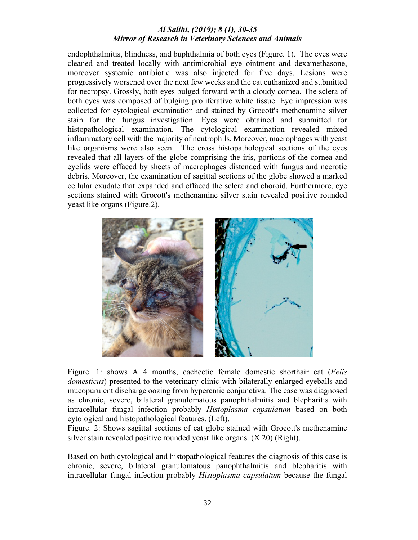endophthalmitis, blindness, and buphthalmia of both eyes (Figure. 1). The eyes were cleaned and treated locally with antimicrobial eye ointment and dexamethasone, moreover systemic antibiotic was also injected for five days. Lesions were progressively worsened over the next few weeks and the cat euthanized and submitted for necropsy. Grossly, both eyes bulged forward with a cloudy cornea. The sclera of both eyes was composed of bulging proliferative white tissue. Eye impression was collected for cytological examination and stained by Grocott's methenamine silver stain for the fungus investigation. Eyes were obtained and submitted for histopathological examination. The cytological examination revealed mixed inflammatory cell with the majority of neutrophils. Moreover, macrophages with yeast like organisms were also seen. The cross histopathological sections of the eyes revealed that all layers of the globe comprising the iris, portions of the cornea and eyelids were effaced by sheets of macrophages distended with fungus and necrotic debris. Moreover, the examination of sagittal sections of the globe showed a marked cellular exudate that expanded and effaced the sclera and choroid. Furthermore, eye sections stained with Grocott's methenamine silver stain revealed positive rounded yeast like organs (Figure.2).



Figure. 1: shows A 4 months, cachectic female domestic shorthair cat (*Felis domesticus*) presented to the veterinary clinic with bilaterally enlarged eyeballs and mucopurulent discharge oozing from hyperemic conjunctiva. The case was diagnosed as chronic, severe, bilateral granulomatous panophthalmitis and blepharitis with intracellular fungal infection probably *Histoplasma capsulatum* based on both cytological and histopathological features. (Left).

Figure. 2: Shows sagittal sections of cat globe stained with Grocott's methenamine silver stain revealed positive rounded yeast like organs. (X 20) (Right).

Based on both cytological and histopathological features the diagnosis of this case is chronic, severe, bilateral granulomatous panophthalmitis and blepharitis with intracellular fungal infection probably *Histoplasma capsulatum* because the fungal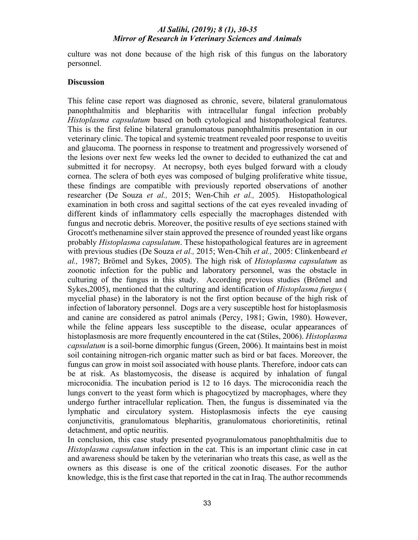culture was not done because of the high risk of this fungus on the laboratory personnel.

#### **Discussion**

This feline case report was diagnosed as chronic, severe, bilateral granulomatous panophthalmitis and blepharitis with intracellular fungal infection probably *Histoplasma capsulatum* based on both cytological and histopathological features. This is the first feline bilateral granulomatous panophthalmitis presentation in our veterinary clinic. The topical and systemic treatment revealed poor response to uveitis and glaucoma. The poorness in response to treatment and progressively worsened of the lesions over next few weeks led the owner to decided to euthanized the cat and submitted it for necropsy. At necropsy, both eyes bulged forward with a cloudy cornea. The sclera of both eyes was composed of bulging proliferative white tissue, these findings are compatible with previously reported observations of another researcher (De Souza *et al.,* 2015; Wen-Chih *et al.,* 2005). Histopathological examination in both cross and sagittal sections of the cat eyes revealed invading of different kinds of inflammatory cells especially the macrophages distended with fungus and necrotic debris. Moreover, the positive results of eye sections stained with Grocott's methenamine silver stain approved the presence of rounded yeast like organs probably *Histoplasma capsulatum*. These histopathological features are in agreement with previous studies (De Souza *et al.,* 2015; Wen-Chih *et al.,* 2005: Clinkenbeard *et al.,* 1987; Brömel and Sykes, 2005). The high risk of *Histoplasma capsulatum* as zoonotic infection for the public and laboratory personnel, was the obstacle in culturing of the fungus in this study. According previous studies (Brömel and Sykes,2005), mentioned that the culturing and identification of *Histoplasma fungus* ( mycelial phase) in the laboratory is not the first option because of the high risk of infection of laboratory personnel. Dogs are a very susceptible host for histoplasmosis and canine are considered as patrol animals (Percy, 1981; Gwin, 1980). However, while the feline appears less susceptible to the disease, ocular appearances of histoplasmosis are more frequently encountered in the cat (Stiles, 2006). *Histoplasma capsulatum* is a soil-borne dimorphic fungus (Green, 2006). It maintains best in moist soil containing nitrogen-rich organic matter such as bird or bat faces. Moreover, the fungus can grow in moist soil associated with house plants. Therefore, indoor cats can be at risk. As blastomycosis, the disease is acquired by inhalation of fungal microconidia. The incubation period is 12 to 16 days. The microconidia reach the lungs convert to the yeast form which is phagocytized by macrophages, where they undergo further intracellular replication. Then, the fungus is disseminated via the lymphatic and circulatory system. Histoplasmosis infects the eye causing conjunctivitis, granulomatous blepharitis, granulomatous chorioretinitis, retinal detachment, and optic neuritis.

In conclusion, this case study presented pyogranulomatous panophthalmitis due to *Histoplasma capsulatum* infection in the cat. This is an important clinic case in cat and awareness should be taken by the veterinarian who treats this case, as well as the owners as this disease is one of the critical zoonotic diseases. For the author knowledge, this is the first case that reported in the cat in Iraq. The author recommends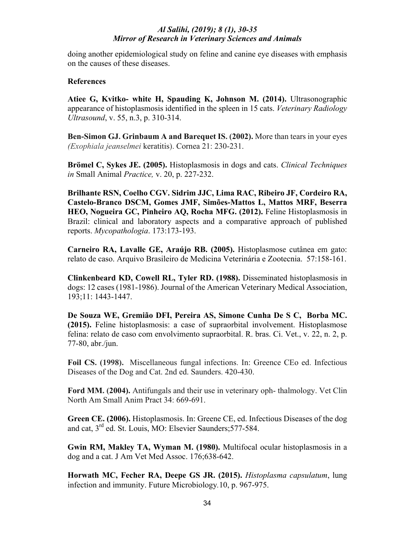doing another epidemiological study on feline and canine eye diseases with emphasis on the causes of these diseases.

## **References**

**Atiee G, Kvitko- white H, Spauding K, Johnson M. (2014).** Ultrasonographic appearance of histoplasmosis identified in the spleen in 15 cats. *Veterinary Radiology Ultrasound*, v. 55, n.3, p. 310-314.

**Ben-Simon GJ. Grinbaum A and Barequet IS. (2002).** More than tears in your eyes *(Exophiala jeanselmei* keratitis). Cornea 21: 230-231.

**Brömel C, Sykes JE. (2005).** Histoplasmosis in dogs and cats. *Clinical Techniques in* Small Animal *Practice,* v. 20, p. 227-232.

**Brilhante RSN, Coelho CGV. Sidrim JJC, Lima RAC, Ribeiro JF, Cordeiro RA, Castelo-Branco DSCM, Gomes JMF, Simões-Mattos L, Mattos MRF, Beserra HEO, Nogueira GC, Pinheiro AQ, Rocha MFG. (2012).** Feline Histoplasmosis in Brazil: clinical and laboratory aspects and a comparative approach of published reports. *Mycopathologia*. 173:173-193.

**Carneiro RA, Lavalle GE, Araújo RB. (2005).** Histoplasmose cutânea em gato: relato de caso. Arquivo Brasileiro de Medicina Veterinária e Zootecnia. 57:158-161.

**Clinkenbeard KD, Cowell RL, Tyler RD. (1988).** Disseminated histoplasmosis in dogs: 12 cases (1981-1986). Journal of the American Veterinary Medical Association, 193;11: 1443-1447.

**De Souza WE, Gremião DFI, Pereira AS, Simone Cunha De S C, Borba MC. (2015).** Feline histoplasmosis: a case of supraorbital involvement. Histoplasmose felina: relato de caso com envolvimento supraorbital. R. bras. Ci. Vet., v. 22, n. 2, p. 77-80, abr./jun.

**Foil CS. (1998).** Miscellaneous fungal infections. In: Greence CEo ed. Infectious Diseases of the Dog and Cat. 2nd ed. Saunders. 420-430.

**Ford MM. (2004).** Antifungals and their use in veterinary oph- thalmology. Vet Clin North Am Small Anim Pract 34: 669-691.

**Green CE. (2006).** Histoplasmosis. In: Greene CE, ed. Infectious Diseases of the dog and cat, 3rd ed. St. Louis, MO: Elsevier Saunders;577-584.

**Gwin RM, Makley TA, Wyman M. (1980).** Multifocal ocular histoplasmosis in a dog and a cat. J Am Vet Med Assoc. 176;638-642.

**Horwath MC, Fecher RA, Deepe GS JR. (2015).** *Histoplasma capsulatum*, lung infection and immunity. Future Microbiology*.*10, p. 967-975.